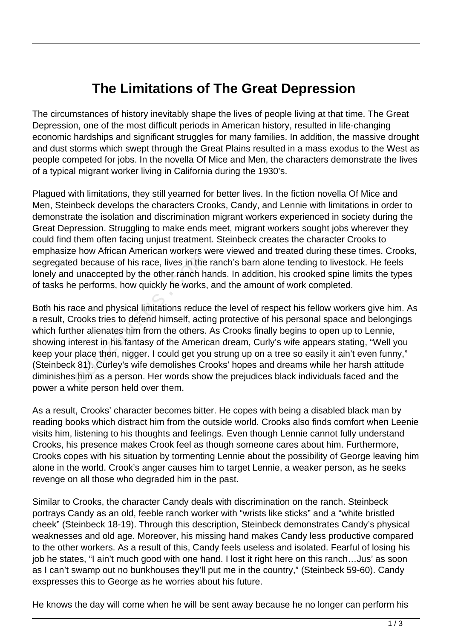## **The Limitations of The Great Depression**

The circumstances of history inevitably shape the lives of people living at that time. The Great Depression, one of the most difficult periods in American history, resulted in life-changing economic hardships and significant struggles for many families. In addition, the massive drought and dust storms which swept through the Great Plains resulted in a mass exodus to the West as people competed for jobs. In the novella Of Mice and Men, the characters demonstrate the lives of a typical migrant worker living in California during the 1930's.

Plagued with limitations, they still yearned for better lives. In the fiction novella Of Mice and Men, Steinbeck develops the characters Crooks, Candy, and Lennie with limitations in order to demonstrate the isolation and discrimination migrant workers experienced in society during the Great Depression. Struggling to make ends meet, migrant workers sought jobs wherever they could find them often facing unjust treatment. Steinbeck creates the character Crooks to emphasize how African American workers were viewed and treated during these times. Crooks, segregated because of his race, lives in the ranch's barn alone tending to livestock. He feels lonely and unaccepted by the other ranch hands. In addition, his crooked spine limits the types of tasks he performs, how quickly he works, and the amount of work completed.

Both his race and physical limitations reduce the level of respect his fellow workers give him. As a result, Crooks tries to defend himself, acting protective of his personal space and belongings which further alienates him from the others. As Crooks finally begins to open up to Lennie, showing interest in his fantasy of the American dream, Curly's wife appears stating, "Well you keep your place then, nigger. I could get you strung up on a tree so easily it ain't even funny," (Steinbeck 81). Curley's wife demolishes Crooks' hopes and dreams while her harsh attitude diminishes him as a person. Her words show the prejudices black individuals faced and the power a white person held over them. d because of his race, lives in the<br>unaccepted by the other ranch has<br>performs, how quickly he works,<br>ice and physical limitations reduce<br>rooks tries to defend himself, actin<br>er alienates him from the others.<br>terest in his

As a result, Crooks' character becomes bitter. He copes with being a disabled black man by reading books which distract him from the outside world. Crooks also finds comfort when Leenie visits him, listening to his thoughts and feelings. Even though Lennie cannot fully understand Crooks, his presence makes Crook feel as though someone cares about him. Furthermore, Crooks copes with his situation by tormenting Lennie about the possibility of George leaving him alone in the world. Crook's anger causes him to target Lennie, a weaker person, as he seeks revenge on all those who degraded him in the past.

Similar to Crooks, the character Candy deals with discrimination on the ranch. Steinbeck portrays Candy as an old, feeble ranch worker with "wrists like sticks" and a "white bristled cheek" (Steinbeck 18-19). Through this description, Steinbeck demonstrates Candy's physical weaknesses and old age. Moreover, his missing hand makes Candy less productive compared to the other workers. As a result of this, Candy feels useless and isolated. Fearful of losing his job he states, "I ain't much good with one hand. I lost it right here on this ranch…Jus' as soon as I can't swamp out no bunkhouses they'll put me in the country," (Steinbeck 59-60). Candy exspresses this to George as he worries about his future.

He knows the day will come when he will be sent away because he no longer can perform his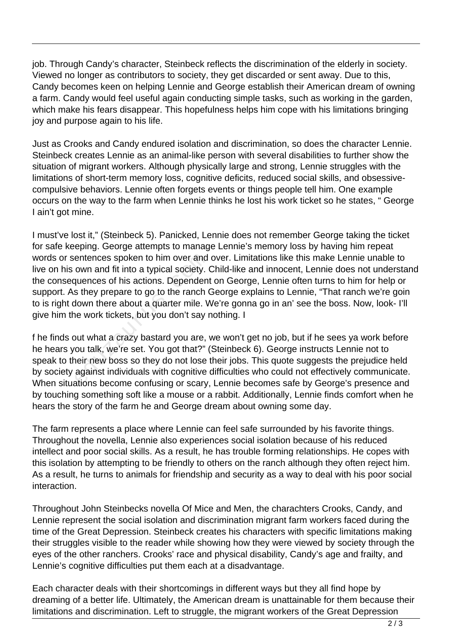job. Through Candy's character, Steinbeck reflects the discrimination of the elderly in society. Viewed no longer as contributors to society, they get discarded or sent away. Due to this, Candy becomes keen on helping Lennie and George establish their American dream of owning a farm. Candy would feel useful again conducting simple tasks, such as working in the garden, which make his fears disappear. This hopefulness helps him cope with his limitations bringing joy and purpose again to his life.

Just as Crooks and Candy endured isolation and discrimination, so does the character Lennie. Steinbeck creates Lennie as an animal-like person with several disabilities to further show the situation of migrant workers. Although physically large and strong, Lennie struggles with the limitations of short-term memory loss, cognitive deficits, reduced social skills, and obsessivecompulsive behaviors. Lennie often forgets events or things people tell him. One example occurs on the way to the farm when Lennie thinks he lost his work ticket so he states, " George I ain't got mine.

I must've lost it," (Steinbeck 5). Panicked, Lennie does not remember George taking the ticket for safe keeping. George attempts to manage Lennie's memory loss by having him repeat words or sentences spoken to him over and over. Limitations like this make Lennie unable to live on his own and fit into a typical society. Child-like and innocent, Lennie does not understand the consequences of his actions. Dependent on George, Lennie often turns to him for help or support. As they prepare to go to the ranch George explains to Lennie, "That ranch we're goin to is right down there about a quarter mile. We're gonna go in an' see the boss. Now, look- I'll give him the work tickets, but you don't say nothing. I entences spoken to him over and<br>own and fit into a typical society. (<br>quences of his actions. Dependen<br>s they prepare to go to the ranch (<br>down there about a quarter mile. V<br>ne work tickets, but you don't say r<br>but what a

f he finds out what a crazy bastard you are, we won't get no job, but if he sees ya work before he hears you talk, we're set. You got that?" (Steinbeck 6). George instructs Lennie not to speak to their new boss so they do not lose their jobs. This quote suggests the prejudice held by society against individuals with cognitive difficulties who could not effectively communicate. When situations become confusing or scary, Lennie becomes safe by George's presence and by touching something soft like a mouse or a rabbit. Additionally, Lennie finds comfort when he hears the story of the farm he and George dream about owning some day.

The farm represents a place where Lennie can feel safe surrounded by his favorite things. Throughout the novella, Lennie also experiences social isolation because of his reduced intellect and poor social skills. As a result, he has trouble forming relationships. He copes with this isolation by attempting to be friendly to others on the ranch although they often reject him. As a result, he turns to animals for friendship and security as a way to deal with his poor social interaction.

Throughout John Steinbecks novella Of Mice and Men, the charachters Crooks, Candy, and Lennie represent the social isolation and discrimination migrant farm workers faced during the time of the Great Depression. Steinbeck creates his characters with specific limitations making their struggles visible to the reader while showing how they were viewed by society through the eyes of the other ranchers. Crooks' race and physical disability, Candy's age and frailty, and Lennie's cognitive difficulties put them each at a disadvantage.

Each character deals with their shortcomings in different ways but they all find hope by dreaming of a better life. Ultimately, the American dream is unattainable for them because their limitations and discrimination. Left to struggle, the migrant workers of the Great Depression